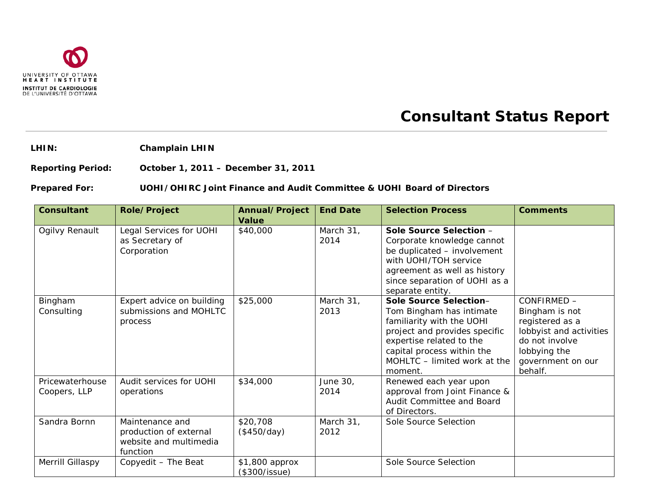

## **Consultant Status Report**

**LHIN: Champlain LHIN**

**Reporting Period: October 1, 2011 – December 31, 2011**

**Prepared For: UOHI/OHIRC Joint Finance and Audit Committee & UOHI Board of Directors**

| <b>Consultant</b>               | <b>Role/Project</b>                                                             | Annual/Project<br><b>Value</b>  | <b>End Date</b>   | <b>Selection Process</b>                                                                                                                                                                                              | <b>Comments</b>                                                                                                                               |
|---------------------------------|---------------------------------------------------------------------------------|---------------------------------|-------------------|-----------------------------------------------------------------------------------------------------------------------------------------------------------------------------------------------------------------------|-----------------------------------------------------------------------------------------------------------------------------------------------|
| Ogilvy Renault                  | Legal Services for UOHI<br>as Secretary of<br>Corporation                       | \$40,000                        | March 31,<br>2014 | Sole Source Selection -<br>Corporate knowledge cannot<br>be duplicated - involvement<br>with UOHI/TOH service<br>agreement as well as history<br>since separation of UOHI as a<br>separate entity.                    |                                                                                                                                               |
| Bingham<br>Consulting           | Expert advice on building<br>submissions and MOHLTC<br>process                  | \$25,000                        | March 31,<br>2013 | Sole Source Selection-<br>Tom Bingham has intimate<br>familiarity with the UOHI<br>project and provides specific<br>expertise related to the<br>capital process within the<br>MOHLTC - limited work at the<br>moment. | CONFIRMED -<br>Bingham is not<br>registered as a<br>lobbyist and activities<br>do not involve<br>lobbying the<br>government on our<br>behalf. |
| Pricewaterhouse<br>Coopers, LLP | Audit services for UOHI<br>operations                                           | \$34,000                        | June 30,<br>2014  | Renewed each year upon<br>approval from Joint Finance &<br>Audit Committee and Board<br>of Directors.                                                                                                                 |                                                                                                                                               |
| Sandra Bornn                    | Maintenance and<br>production of external<br>website and multimedia<br>function | \$20,708<br>(\$450/day)         | March 31,<br>2012 | Sole Source Selection                                                                                                                                                                                                 |                                                                                                                                               |
| Merrill Gillaspy                | Copyedit - The Beat                                                             | \$1,800 approx<br>(\$300/issue) |                   | Sole Source Selection                                                                                                                                                                                                 |                                                                                                                                               |